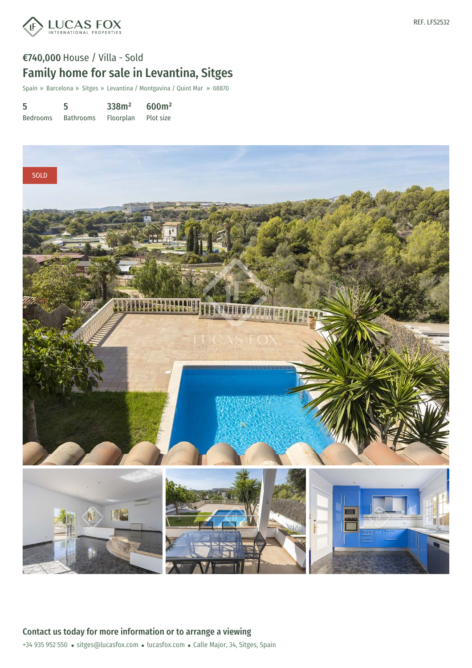

Spain » Barcelona » Sitges » Levantina / Montgavina / Quint Mar » 08870

| 5               | 5                | 338m <sup>2</sup> | 600m <sup>2</sup> |
|-----------------|------------------|-------------------|-------------------|
| <b>Bedrooms</b> | <b>Bathrooms</b> | Floorplan         | Plot size         |



+34 935 952 550 · sitges@lucasfox.com · lucasfox.com · Calle Major, 34, Sitges, Spain Contact us today for more information or to arrange a viewing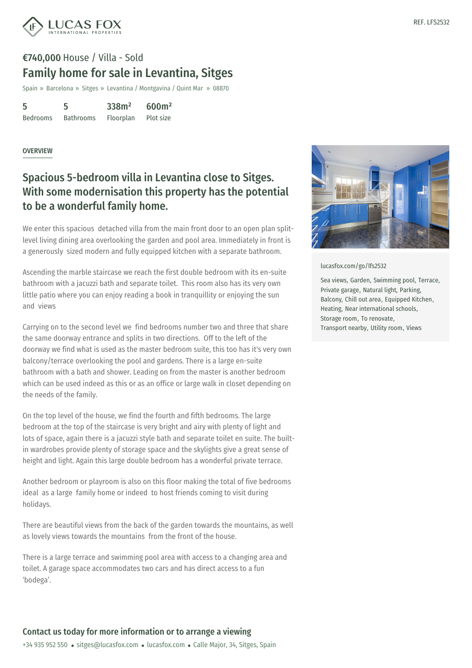

# €740,000 House / Villa - Sold Family home for sale in Levantina, Sitges

Spain » Barcelona » Sitges » Levantina / Montgavina / Quint Mar » 08870

| 5               | 5                | 338m <sup>2</sup> | 600m <sup>2</sup> |
|-----------------|------------------|-------------------|-------------------|
| <b>Bedrooms</b> | <b>Bathrooms</b> | Floorplan         | Plot size         |

#### **OVERVIEW**

## Spacious 5-bedroom villa in Levantina close to Sitges. With some modernisation this property has the potential to be a wonderful family home.

We enter this spacious detached villa from the main front door to an open plan splitlevel living dining area overlooking the garden and pool area. Immediately in front is a generously sized modern and fully equipped kitchen with a separate bathroom.

Ascending the marble staircase we reach the first double bedroom with its en-suite bathroom with a jacuzzi bath and separate toilet. This room also has its very own little patio where you can enjoy reading a book in tranquillity or enjoying the sun and views

Carrying on to the second level we find bedrooms number two and three that share the same doorway entrance and splits in two directions. Off to the left of the doorway we find what is used as the master bedroom suite, this too has it's very own balcony/terrace overlooking the pool and gardens. There is a large en-suite bathroom with a bath and shower. Leading on from the master is another bedroom which can be used indeed as this or as an office or large walk in closet depending on the needs of the family.

On the top level of the house, we find the fourth and fifth bedrooms. The large bedroom at the top of the staircase is very bright and airy with plenty of light and lots of space, again there is a jacuzzi style bath and separate toilet en suite. The builtin wardrobes provide plenty of storage space and the skylights give a great sense of height and light. Again this large double bedroom has a wonderful private terrace.

Another bedroom or playroom is also on this floor making the total of five bedrooms ideal as a large [family](mailto:sitges@lucasfox.com) home or indeed to [host](https://www.lucasfox.com) friends coming to visit during holidays.

There are beautiful views from the back of the garden towards the mountains, as well as lovely views towards the mountains from the front of the house.

There is a large terrace and swimming pool area with access to a changing area and toilet. A garage space accommodates two cars and has direct access to a fun 'bodega'.



[lucasfox.com/go/lfs2532](https://www.lucasfox.com/go/lfs2532)

Sea views, Garden, Swimming pool, Terrace, Private garage, Natural light, Parking, Balcony, Chill out area, Equipped Kitchen, Heating, Near international schools, Storage room, To renovate, Transport nearby, Utility room, Views

### Contact us today for more information or to arrange a viewing

+34 935 952 550 · sitges@lucasfox.com · lucasfox.com · Calle Major, 34, Sitges, Spain